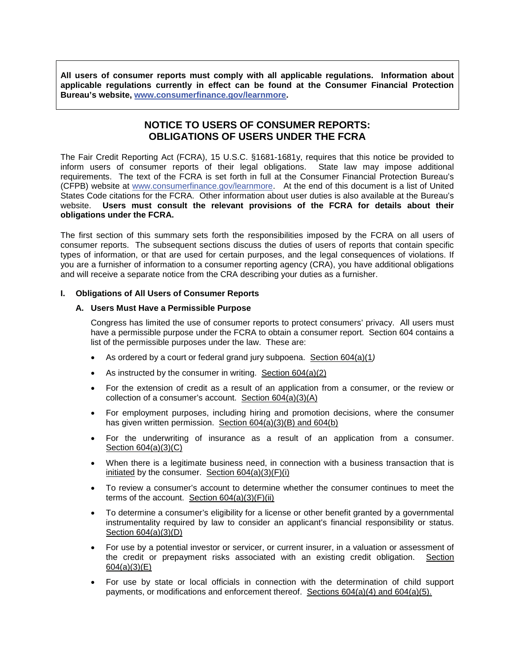**All users of consumer reports must comply with all applicable regulations. Information about applicable regulations currently in effect can be found at the Consumer Financial Protection Bureau's website, www.consumerfinance.gov/learnmore.**

# **NOTICE TO USERS OF CONSUMER REPORTS: OBLIGATIONS OF USERS UNDER THE FCRA**

The Fair Credit Reporting Act (FCRA), 15 U.S.C. §1681-1681y, requires that this notice be provided to inform users of consumer reports of their legal obligations. State law may impose additional requirements. The text of the FCRA is set forth in full at the Consumer Financial Protection Bureau's (CFPB) website at www.consumerfinance.gov/learnmore. At the end of this document is a list of United States Code citations for the FCRA. Other information about user duties is also available at the Bureau's website. **Users must consult the relevant provisions of the FCRA for details about their obligations under the FCRA.**

The first section of this summary sets forth the responsibilities imposed by the FCRA on all users of consumer reports. The subsequent sections discuss the duties of users of reports that contain specific types of information, or that are used for certain purposes, and the legal consequences of violations. If you are a furnisher of information to a consumer reporting agency (CRA), you have additional obligations and will receive a separate notice from the CRA describing your duties as a furnisher.

### **I. Obligations of All Users of Consumer Reports**

### **A. Users Must Have a Permissible Purpose**

Congress has limited the use of consumer reports to protect consumers' privacy. All users must have a permissible purpose under the FCRA to obtain a consumer report. Section 604 contains a list of the permissible purposes under the law. These are:

- x As ordered by a court or federal grand jury subpoena. Section 604(a)(1*)*
- As instructed by the consumer in writing. Section  $604(a)(2)$
- For the extension of credit as a result of an application from a consumer, or the review or collection of a consumer's account. Section 604(a)(3)(A)
- For employment purposes, including hiring and promotion decisions, where the consumer has given written permission. Section 604(a)(3)(B) and 604(b)
- For the underwriting of insurance as a result of an application from a consumer. Section 604(a)(3)(C)
- When there is a legitimate business need, in connection with a business transaction that is initiated by the consumer. Section  $604(a)(3)(F)(i)$
- To review a consumer's account to determine whether the consumer continues to meet the terms of the account. Section  $604(a)(3)(F)(ii)$
- To determine a consumer's eligibility for a license or other benefit granted by a governmental instrumentality required by law to consider an applicant's financial responsibility or status. Section 604(a)(3)(D)
- For use by a potential investor or servicer, or current insurer, in a valuation or assessment of the credit or prepayment risks associated with an existing credit obligation. Section 604(a)(3)(E)
- For use by state or local officials in connection with the determination of child support payments, or modifications and enforcement thereof. Sections 604(a)(4) and 604(a)(5).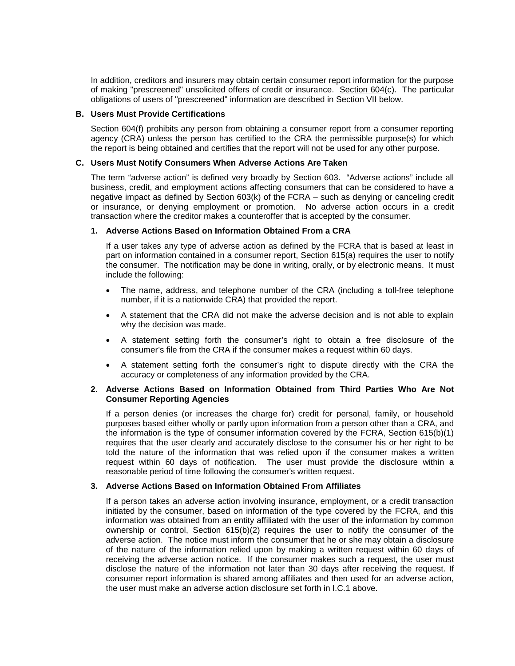In addition, creditors and insurers may obtain certain consumer report information for the purpose of making "prescreened" unsolicited offers of credit or insurance. Section 604(c). The particular obligations of users of "prescreened" information are described in Section VII below.

### **B. Users Must Provide Certifications**

Section 604(f) prohibits any person from obtaining a consumer report from a consumer reporting agency (CRA) unless the person has certified to the CRA the permissible purpose(s) for which the report is being obtained and certifies that the report will not be used for any other purpose.

### **C. Users Must Notify Consumers When Adverse Actions Are Taken**

The term "adverse action" is defined very broadly by Section 603. "Adverse actions" include all business, credit, and employment actions affecting consumers that can be considered to have a negative impact as defined by Section 603(k) of the FCRA – such as denying or canceling credit or insurance, or denying employment or promotion. No adverse action occurs in a credit transaction where the creditor makes a counteroffer that is accepted by the consumer.

### **1. Adverse Actions Based on Information Obtained From a CRA**

If a user takes any type of adverse action as defined by the FCRA that is based at least in part on information contained in a consumer report, Section 615(a) requires the user to notify the consumer. The notification may be done in writing, orally, or by electronic means. It must include the following:

- The name, address, and telephone number of the CRA (including a toll-free telephone number, if it is a nationwide CRA) that provided the report.
- A statement that the CRA did not make the adverse decision and is not able to explain why the decision was made.
- A statement setting forth the consumer's right to obtain a free disclosure of the consumer's file from the CRA if the consumer makes a request within 60 days.
- A statement setting forth the consumer's right to dispute directly with the CRA the accuracy or completeness of any information provided by the CRA.

### **2. Adverse Actions Based on Information Obtained from Third Parties Who Are Not Consumer Reporting Agencies**

If a person denies (or increases the charge for) credit for personal, family, or household purposes based either wholly or partly upon information from a person other than a CRA, and the information is the type of consumer information covered by the FCRA, Section 615(b)(1) requires that the user clearly and accurately disclose to the consumer his or her right to be told the nature of the information that was relied upon if the consumer makes a written request within 60 days of notification. The user must provide the disclosure within a reasonable period of time following the consumer's written request.

### **3. Adverse Actions Based on Information Obtained From Affiliates**

If a person takes an adverse action involving insurance, employment, or a credit transaction initiated by the consumer, based on information of the type covered by the FCRA, and this information was obtained from an entity affiliated with the user of the information by common ownership or control, Section 615(b)(2) requires the user to notify the consumer of the adverse action. The notice must inform the consumer that he or she may obtain a disclosure of the nature of the information relied upon by making a written request within 60 days of receiving the adverse action notice. If the consumer makes such a request, the user must disclose the nature of the information not later than 30 days after receiving the request. If consumer report information is shared among affiliates and then used for an adverse action, the user must make an adverse action disclosure set forth in I.C.1 above.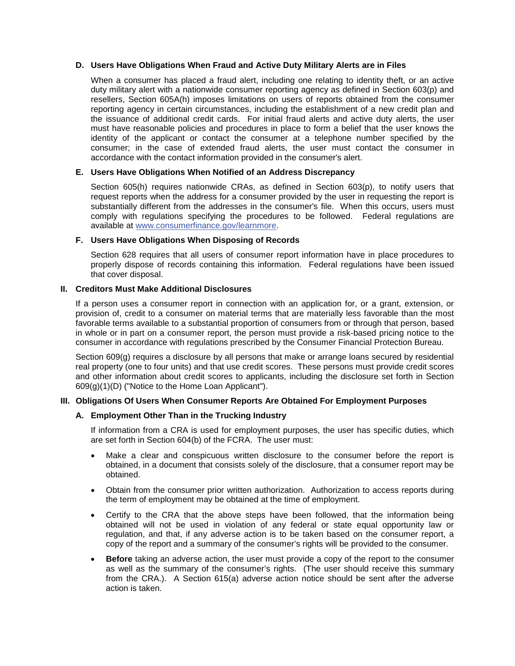### **D. Users Have Obligations When Fraud and Active Duty Military Alerts are in Files**

When a consumer has placed a fraud alert, including one relating to identity theft, or an active duty military alert with a nationwide consumer reporting agency as defined in Section 603(p) and resellers, Section 605A(h) imposes limitations on users of reports obtained from the consumer reporting agency in certain circumstances, including the establishment of a new credit plan and the issuance of additional credit cards. For initial fraud alerts and active duty alerts, the user must have reasonable policies and procedures in place to form a belief that the user knows the identity of the applicant or contact the consumer at a telephone number specified by the consumer; in the case of extended fraud alerts, the user must contact the consumer in accordance with the contact information provided in the consumer's alert.

### **E. Users Have Obligations When Notified of an Address Discrepancy**

Section 605(h) requires nationwide CRAs, as defined in Section 603(p), to notify users that request reports when the address for a consumer provided by the user in requesting the report is substantially different from the addresses in the consumer's file. When this occurs, users must comply with regulations specifying the procedures to be followed. Federal regulations are available at www.consumerfinance.gov/learnmore.

### **F. Users Have Obligations When Disposing of Records**

Section 628 requires that all users of consumer report information have in place procedures to properly dispose of records containing this information. Federal regulations have been issued that cover disposal.

### **II. Creditors Must Make Additional Disclosures**

If a person uses a consumer report in connection with an application for, or a grant, extension, or provision of, credit to a consumer on material terms that are materially less favorable than the most favorable terms available to a substantial proportion of consumers from or through that person, based in whole or in part on a consumer report, the person must provide a risk-based pricing notice to the consumer in accordance with regulations prescribed by the Consumer Financial Protection Bureau.

Section 609(g) requires a disclosure by all persons that make or arrange loans secured by residential real property (one to four units) and that use credit scores. These persons must provide credit scores and other information about credit scores to applicants, including the disclosure set forth in Section 609(g)(1)(D) ("Notice to the Home Loan Applicant").

# **III. Obligations Of Users When Consumer Reports Are Obtained For Employment Purposes**

# **A. Employment Other Than in the Trucking Industry**

If information from a CRA is used for employment purposes, the user has specific duties, which are set forth in Section 604(b) of the FCRA. The user must:

- Make a clear and conspicuous written disclosure to the consumer before the report is obtained, in a document that consists solely of the disclosure, that a consumer report may be obtained.
- Obtain from the consumer prior written authorization. Authorization to access reports during the term of employment may be obtained at the time of employment.
- Certify to the CRA that the above steps have been followed, that the information being obtained will not be used in violation of any federal or state equal opportunity law or regulation, and that, if any adverse action is to be taken based on the consumer report, a copy of the report and a summary of the consumer's rights will be provided to the consumer.
- **Before** taking an adverse action, the user must provide a copy of the report to the consumer as well as the summary of the consumer's rights. (The user should receive this summary from the CRA.). A Section 615(a) adverse action notice should be sent after the adverse action is taken.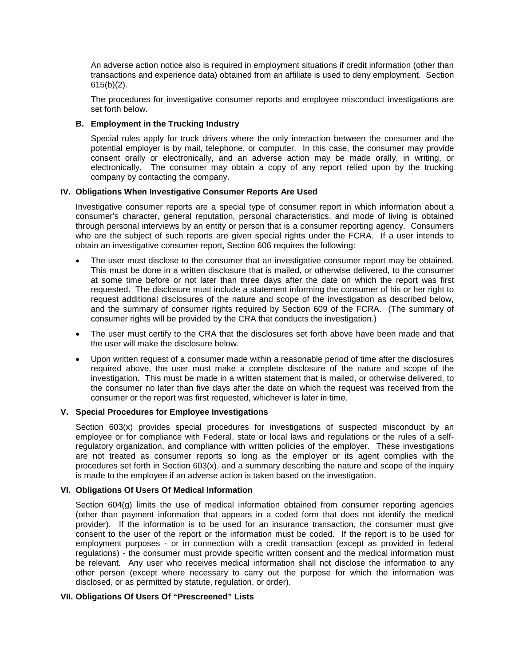An adverse action notice also is required in employment situations if credit information (other than transactions and experience data) obtained from an affiliate is used to deny employment. Section  $615(b)(2)$ .

The procedures for investigative consumer reports and employee misconduct investigations are set forth below.

### **B. Employment in the Trucking Industry**

Special rules apply for truck drivers where the only interaction between the consumer and the potential employer is by mail, telephone, or computer. In this case, the consumer may provide consent orally or electronically, and an adverse action may be made orally, in writing, or electronically. The consumer may obtain a copy of any report relied upon by the trucking company by contacting the company.

### **IV. Obligations When Investigative Consumer Reports Are Used**

Investigative consumer reports are a special type of consumer report in which information about a consumer's character, general reputation, personal characteristics, and mode of living is obtained through personal interviews by an entity or person that is a consumer reporting agency. Consumers who are the subject of such reports are given special rights under the FCRA. If a user intends to obtain an investigative consumer report, Section 606 requires the following:

- The user must disclose to the consumer that an investigative consumer report may be obtained. This must be done in a written disclosure that is mailed, or otherwise delivered, to the consumer at some time before or not later than three days after the date on which the report was first requested. The disclosure must include a statement informing the consumer of his or her right to request additional disclosures of the nature and scope of the investigation as described below, and the summary of consumer rights required by Section 609 of the FCRA. (The summary of consumer rights will be provided by the CRA that conducts the investigation.)
- The user must certify to the CRA that the disclosures set forth above have been made and that the user will make the disclosure below.
- Upon written request of a consumer made within a reasonable period of time after the disclosures required above, the user must make a complete disclosure of the nature and scope of the investigation. This must be made in a written statement that is mailed, or otherwise delivered, to the consumer no later than five days after the date on which the request was received from the consumer or the report was first requested, whichever is later in time.

### **V. Special Procedures for Employee Investigations**

Section 603(x) provides special procedures for investigations of suspected misconduct by an employee or for compliance with Federal, state or local laws and regulations or the rules of a selfregulatory organization, and compliance with written policies of the employer. These investigations are not treated as consumer reports so long as the employer or its agent complies with the procedures set forth in Section  $603(x)$ , and a summary describing the nature and scope of the inquiry is made to the employee if an adverse action is taken based on the investigation.

### **VI. Obligations Of Users Of Medical Information**

Section 604(g) limits the use of medical information obtained from consumer reporting agencies (other than payment information that appears in a coded form that does not identify the medical provider). If the information is to be used for an insurance transaction, the consumer must give consent to the user of the report or the information must be coded. If the report is to be used for employment purposes - or in connection with a credit transaction (except as provided in federal regulations) - the consumer must provide specific written consent and the medical information must be relevant. Any user who receives medical information shall not disclose the information to any other person (except where necessary to carry out the purpose for which the information was disclosed, or as permitted by statute, regulation, or order).

# **VII. Obligations Of Users Of "Prescreened" Lists**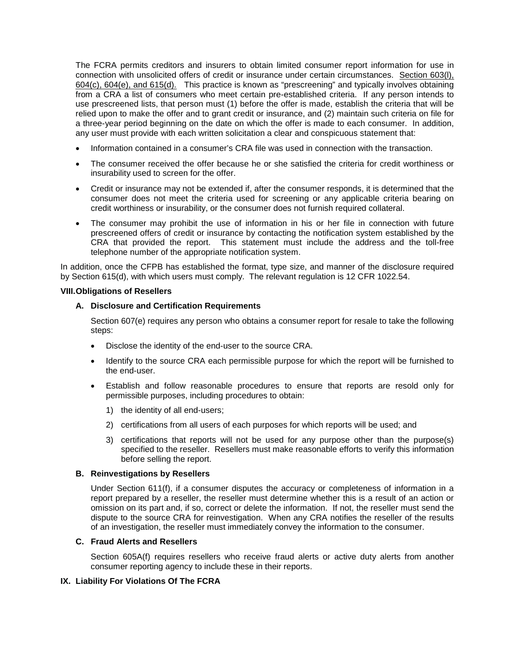The FCRA permits creditors and insurers to obtain limited consumer report information for use in connection with unsolicited offers of credit or insurance under certain circumstances. Section 603(l), 604(c), 604(e), and 615(d). This practice is known as "prescreening" and typically involves obtaining from a CRA a list of consumers who meet certain pre-established criteria. If any person intends to use prescreened lists, that person must (1) before the offer is made, establish the criteria that will be relied upon to make the offer and to grant credit or insurance, and (2) maintain such criteria on file for a three-year period beginning on the date on which the offer is made to each consumer. In addition, any user must provide with each written solicitation a clear and conspicuous statement that:

- Information contained in a consumer's CRA file was used in connection with the transaction.
- The consumer received the offer because he or she satisfied the criteria for credit worthiness or insurability used to screen for the offer.
- Credit or insurance may not be extended if, after the consumer responds, it is determined that the consumer does not meet the criteria used for screening or any applicable criteria bearing on credit worthiness or insurability, or the consumer does not furnish required collateral.
- The consumer may prohibit the use of information in his or her file in connection with future prescreened offers of credit or insurance by contacting the notification system established by the CRA that provided the report. This statement must include the address and the toll-free telephone number of the appropriate notification system.

In addition, once the CFPB has established the format, type size, and manner of the disclosure required by Section 615(d), with which users must comply. The relevant regulation is 12 CFR 1022.54.

#### **VIII.Obligations of Resellers**

#### **A. Disclosure and Certification Requirements**

Section 607(e) requires any person who obtains a consumer report for resale to take the following steps:

- Disclose the identity of the end-user to the source CRA.
- Identify to the source CRA each permissible purpose for which the report will be furnished to the end-user.
- Establish and follow reasonable procedures to ensure that reports are resold only for permissible purposes, including procedures to obtain:
	- 1) the identity of all end-users;
	- 2) certifications from all users of each purposes for which reports will be used; and
	- 3) certifications that reports will not be used for any purpose other than the purpose(s) specified to the reseller. Resellers must make reasonable efforts to verify this information before selling the report.

### **B. Reinvestigations by Resellers**

Under Section 611(f), if a consumer disputes the accuracy or completeness of information in a report prepared by a reseller, the reseller must determine whether this is a result of an action or omission on its part and, if so, correct or delete the information. If not, the reseller must send the dispute to the source CRA for reinvestigation. When any CRA notifies the reseller of the results of an investigation, the reseller must immediately convey the information to the consumer.

#### **C. Fraud Alerts and Resellers**

Section 605A(f) requires resellers who receive fraud alerts or active duty alerts from another consumer reporting agency to include these in their reports.

### **IX. Liability For Violations Of The FCRA**